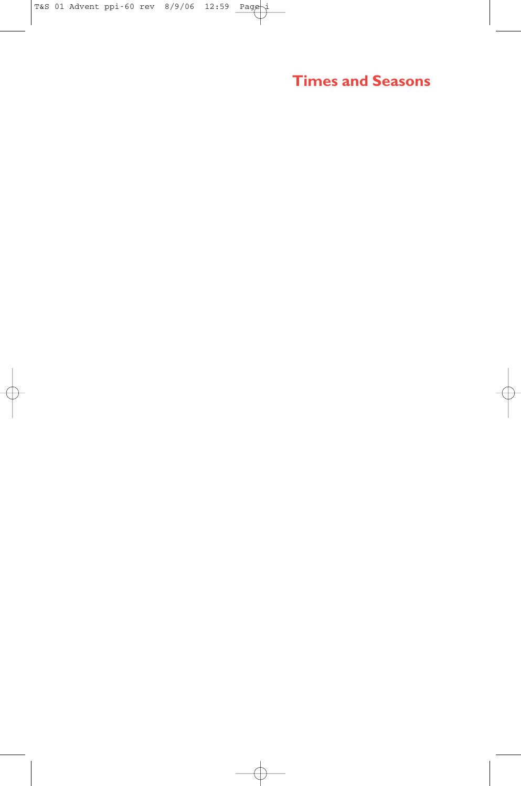**Times and Seasons**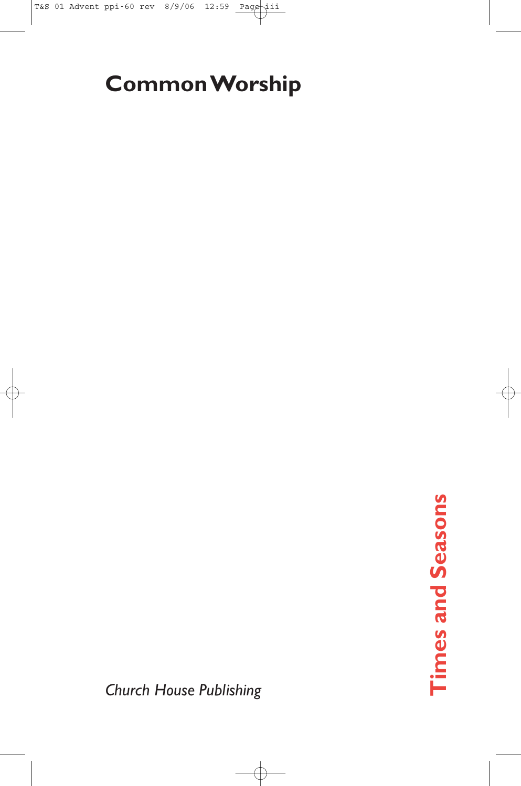# **Common Worship**

*Church House Publishing*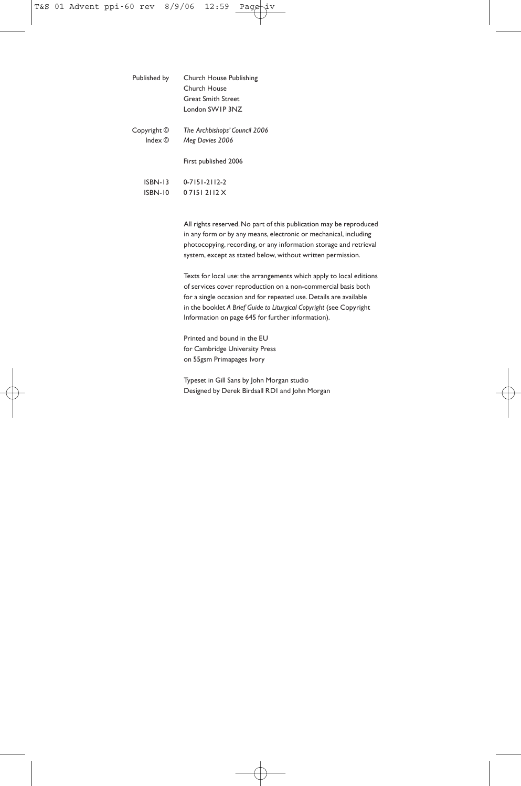| Published by                        | Church House Publishing<br>Church House<br><b>Great Smith Street</b><br>London SWIP 3N7 |
|-------------------------------------|-----------------------------------------------------------------------------------------|
| Copyright ©<br>Index $\circledcirc$ | The Archbishops' Council 2006<br>Meg Davies 2006                                        |
|                                     | First published 2006                                                                    |
| <b>ISBN-13</b><br><b>ISBN-10</b>    | $0 - 7151 - 2112 - 2$<br>$071517112$ X                                                  |
|                                     |                                                                                         |

All rights reserved. No part of this publication may be reproduced in any form or by any means, electronic or mechanical, including photocopying, recording, or any information storage and retrieval system, except as stated below, without written permission.

Texts for local use: the arrangements which apply to local editions of services cover reproduction on a non-commercial basis both for a single occasion and for repeated use. Details are available in the booklet *A Brief Guide to Liturgical Copyright* (see Copyright Information on page 645 for further information).

Printed and bound in the EU for Cambridge University Press on 55gsm Primapages Ivory

Typeset in Gill Sans by John Morgan studio Designed by Derek Birdsall RDI and John Morgan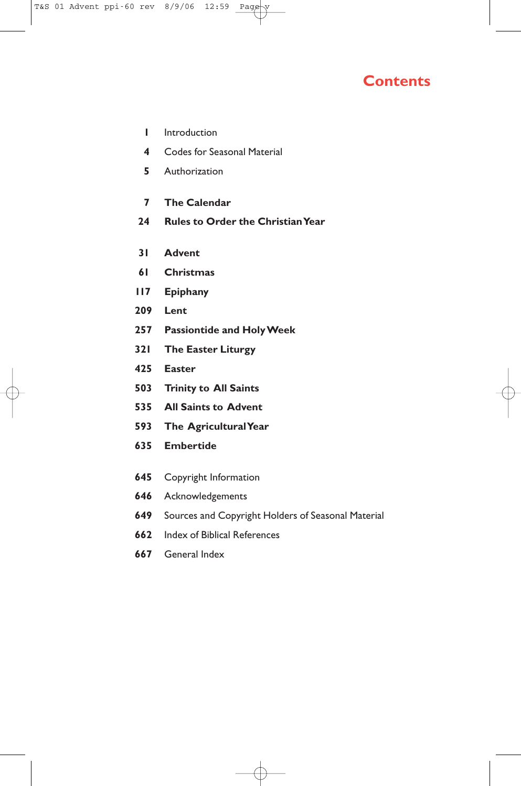### **Contents**

- **1** Introduction
- **4** Codes for Seasonal Material
- **5** Authorization
- **7 The Calendar**
- **24 Rules to Order the Christian Year**
- **31 Advent**
- **61 Christmas**
- **117 Epiphany**
- **209 Lent**
- **257 Passiontide and Holy Week**
- **321 The Easter Liturgy**
- **425 Easter**
- **503 Trinity to All Saints**
- **535 All Saints to Advent**
- **593 The Agricultural Year**
- **635 Embertide**
- **645** Copyright Information
- **646** Acknowledgements
- **649** Sources and Copyright Holders of Seasonal Material
- **662** Index of Biblical References
- **667** General Index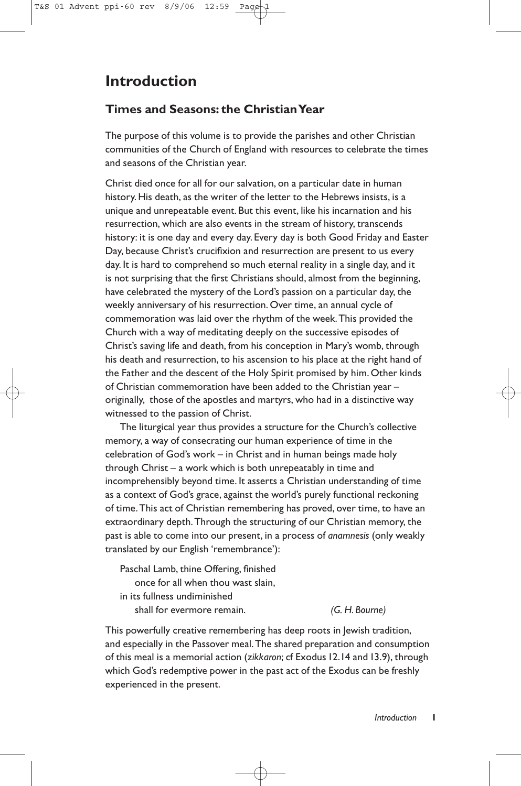## **Introduction**

#### **Times and Seasons: the Christian Year**

The purpose of this volume is to provide the parishes and other Christian communities of the Church of England with resources to celebrate the times and seasons of the Christian year.

Christ died once for all for our salvation, on a particular date in human history. His death, as the writer of the letter to the Hebrews insists, is a unique and unrepeatable event. But this event, like his incarnation and his resurrection, which are also events in the stream of history, transcends history: it is one day and every day. Every day is both Good Friday and Easter Day, because Christ's crucifixion and resurrection are present to us every day. It is hard to comprehend so much eternal reality in a single day, and it is not surprising that the first Christians should, almost from the beginning, have celebrated the mystery of the Lord's passion on a particular day, the weekly anniversary of his resurrection. Over time, an annual cycle of commemoration was laid over the rhythm of the week.This provided the Church with a way of meditating deeply on the successive episodes of Christ's saving life and death, from his conception in Mary's womb, through his death and resurrection, to his ascension to his place at the right hand of the Father and the descent of the Holy Spirit promised by him. Other kinds of Christian commemoration have been added to the Christian year – originally, those of the apostles and martyrs, who had in a distinctive way witnessed to the passion of Christ.

The liturgical year thus provides a structure for the Church's collective memory, a way of consecrating our human experience of time in the celebration of God's work – in Christ and in human beings made holy through Christ – a work which is both unrepeatably in time and incomprehensibly beyond time. It asserts a Christian understanding of time as a context of God's grace, against the world's purely functional reckoning of time.This act of Christian remembering has proved, over time, to have an extraordinary depth.Through the structuring of our Christian memory, the past is able to come into our present, in a process of *anamnesis* (only weakly translated by our English 'remembrance'):

Paschal Lamb, thine Offering, finished once for all when thou wast slain, in its fullness undiminished shall for evermore remain. *(G. H. Bourne)*

This powerfully creative remembering has deep roots in Jewish tradition, and especially in the Passover meal.The shared preparation and consumption of this meal is a memorial action (*zikkaron*; cf Exodus 12.14 and 13.9), through which God's redemptive power in the past act of the Exodus can be freshly experienced in the present.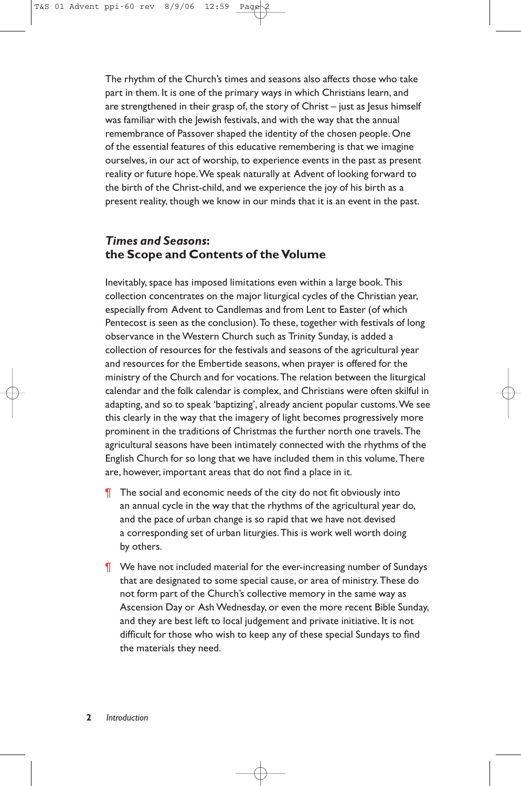The rhythm of the Church's times and seasons also affects those who take part in them. It is one of the primary ways in which Christians learn, and are strengthened in their grasp of, the story of  $Christ - just$  as  $|esus$  himself was familiar with the Jewish festivals, and with the way that the annual remembrance of Passover shaped the identity of the chosen people. One of the essential features of this educative remembering is that we imagine ourselves, in our act of worship, to experience events in the past as present reality or future hope.We speak naturally at Advent of looking forward to the birth of the Christ-child, and we experience the joy of his birth as a present reality, though we know in our minds that it is an event in the past.

#### *Times and Seasons***: the Scope and Contents of the Volume**

Inevitably, space has imposed limitations even within a large book.This collection concentrates on the major liturgical cycles of the Christian year, especially from Advent to Candlemas and from Lent to Easter (of which Pentecost is seen as the conclusion). To these, together with festivals of long observance in the Western Church such as Trinity Sunday, is added a collection of resources for the festivals and seasons of the agricultural year and resources for the Embertide seasons, when prayer is offered for the ministry of the Church and for vocations.The relation between the liturgical calendar and the folk calendar is complex, and Christians were often skilful in adapting, and so to speak 'baptizing', already ancient popular customs.We see this clearly in the way that the imagery of light becomes progressively more prominent in the traditions of Christmas the further north one travels.The agricultural seasons have been intimately connected with the rhythms of the English Church for so long that we have included them in this volume.There are, however, important areas that do not find a place in it.

- The social and economic needs of the city do not fit obviously into an annual cycle in the way that the rhythms of the agricultural year do, and the pace of urban change is so rapid that we have not devised a corresponding set of urban liturgies.This is work well worth doing by others.
- ¶ We have not included material for the ever-increasing number of Sundays that are designated to some special cause, or area of ministry.These do not form part of the Church's collective memory in the same way as Ascension Day or Ash Wednesday, or even the more recent Bible Sunday, and they are best left to local judgement and private initiative. It is not difficult for those who wish to keep any of these special Sundays to find the materials they need.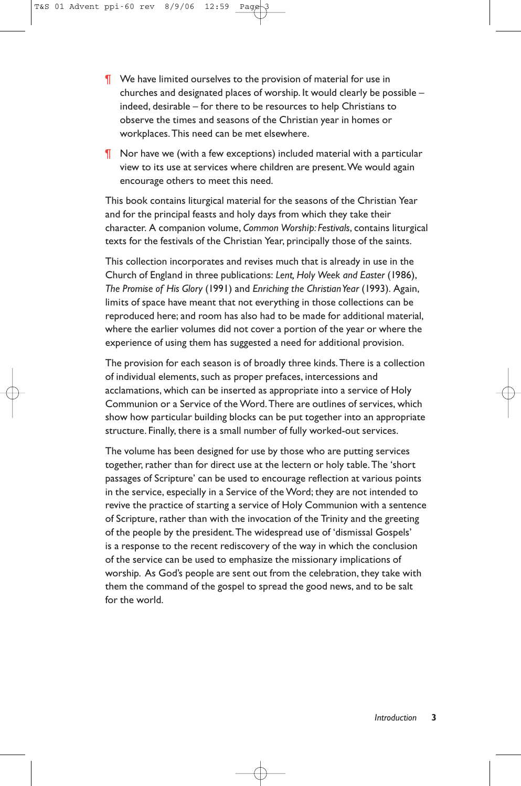- ¶ We have limited ourselves to the provision of material for use in churches and designated places of worship. It would clearly be possible – indeed, desirable – for there to be resources to help Christians to observe the times and seasons of the Christian year in homes or workplaces.This need can be met elsewhere.
- ¶ Nor have we (with a few exceptions) included material with a particular view to its use at services where children are present.We would again encourage others to meet this need.

This book contains liturgical material for the seasons of the Christian Year and for the principal feasts and holy days from which they take their character. A companion volume, *Common Worship: Festivals*, contains liturgical texts for the festivals of the Christian Year, principally those of the saints.

This collection incorporates and revises much that is already in use in the Church of England in three publications: *Lent, Holy Week and Easter* (1986), *The Promise of His Glory* (1991) and *Enriching the Christian Year* (1993). Again, limits of space have meant that not everything in those collections can be reproduced here; and room has also had to be made for additional material, where the earlier volumes did not cover a portion of the year or where the experience of using them has suggested a need for additional provision.

The provision for each season is of broadly three kinds.There is a collection of individual elements, such as proper prefaces, intercessions and acclamations, which can be inserted as appropriate into a service of Holy Communion or a Service of the Word.There are outlines of services, which show how particular building blocks can be put together into an appropriate structure. Finally, there is a small number of fully worked-out services.

The volume has been designed for use by those who are putting services together, rather than for direct use at the lectern or holy table.The 'short passages of Scripture' can be used to encourage reflection at various points in the service, especially in a Service of the Word; they are not intended to revive the practice of starting a service of Holy Communion with a sentence of Scripture, rather than with the invocation of the Trinity and the greeting of the people by the president.The widespread use of 'dismissal Gospels' is a response to the recent rediscovery of the way in which the conclusion of the service can be used to emphasize the missionary implications of worship. As God's people are sent out from the celebration, they take with them the command of the gospel to spread the good news, and to be salt for the world.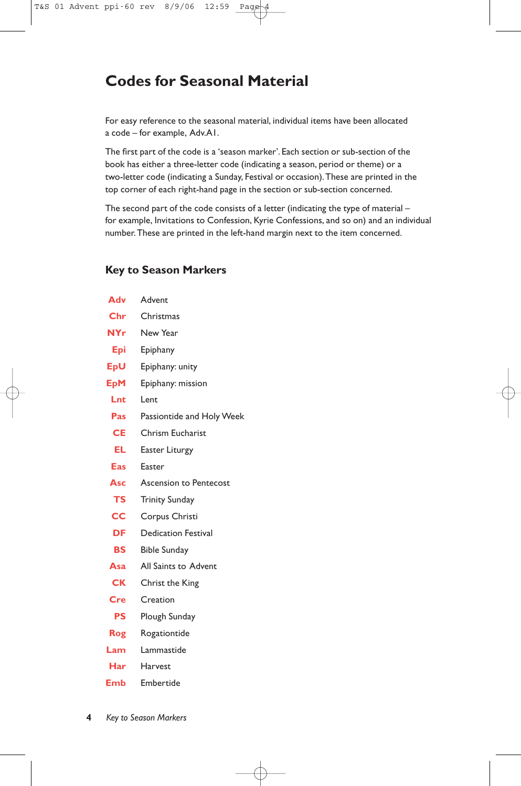## **Codes for Seasonal Material**

For easy reference to the seasonal material, individual items have been allocated a code – for example, Adv.A1.

The first part of the code is a 'season marker'. Each section or sub-section of the book has either a three-letter code (indicating a season, period or theme) or a two-letter code (indicating a Sunday, Festival or occasion).These are printed in the top corner of each right-hand page in the section or sub-section concerned.

The second part of the code consists of a letter (indicating the type of material – for example, Invitations to Confession, Kyrie Confessions, and so on) and an individual number.These are printed in the left-hand margin next to the item concerned.

#### **Key to Season Markers**

| Adv        | Advent                     |
|------------|----------------------------|
| Chr        | Christmas                  |
| NYr.       | New Year                   |
| Epi        | Epiphany                   |
| EpU        | Epiphany: unity            |
| <b>EpM</b> | Epiphany: mission          |
| Lnt        | Lent                       |
| Pas        | Passiontide and Holy Week  |
| <b>CE</b>  | Chrism Eucharist           |
| EL         | Easter Liturgy             |
| Eas        | Easter                     |
| Asc        | Ascension to Pentecost     |
| <b>TS</b>  | <b>Trinity Sunday</b>      |
| cc         | Corpus Christi             |
| DF         | <b>Dedication Festival</b> |
| <b>BS</b>  | <b>Bible Sunday</b>        |
| Asa        | All Saints to Advent       |
| <b>CK</b>  | Christ the King            |
| Cre        | Creation                   |
| PS         | Plough Sunday              |
| Rog        | Rogationtide               |
| Lam        | Lammastide                 |
| Har        | Harvest                    |
| Emb        | Embertide                  |
|            |                            |